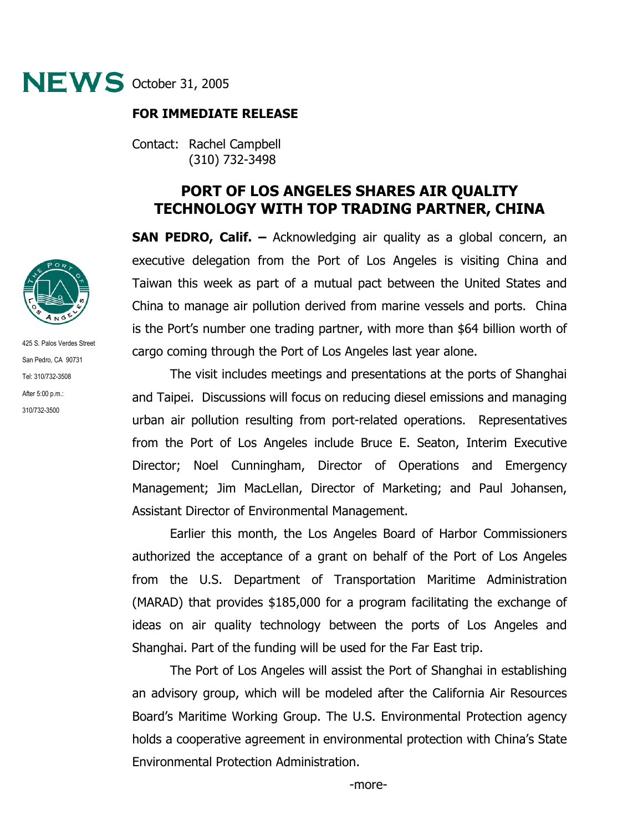

## **FOR IMMEDIATE RELEASE**

Contact: Rachel Campbell (310) 732-3498

## **PORT OF LOS ANGELES SHARES AIR QUALITY TECHNOLOGY WITH TOP TRADING PARTNER, CHINA**

**SAN PEDRO, Calif. –** Acknowledging air quality as a global concern, an executive delegation from the Port of Los Angeles is visiting China and Taiwan this week as part of a mutual pact between the United States and China to manage air pollution derived from marine vessels and ports. China is the Port's number one trading partner, with more than \$64 billion worth of cargo coming through the Port of Los Angeles last year alone.

The visit includes meetings and presentations at the ports of Shanghai and Taipei. Discussions will focus on reducing diesel emissions and managing urban air pollution resulting from port-related operations. Representatives from the Port of Los Angeles include Bruce E. Seaton, Interim Executive Director; Noel Cunningham, Director of Operations and Emergency Management; Jim MacLellan, Director of Marketing; and Paul Johansen, Assistant Director of Environmental Management.

 Earlier this month, the Los Angeles Board of Harbor Commissioners authorized the acceptance of a grant on behalf of the Port of Los Angeles from the U.S. Department of Transportation Maritime Administration (MARAD) that provides \$185,000 for a program facilitating the exchange of ideas on air quality technology between the ports of Los Angeles and Shanghai. Part of the funding will be used for the Far East trip.

The Port of Los Angeles will assist the Port of Shanghai in establishing an advisory group, which will be modeled after the California Air Resources Board's Maritime Working Group. The U.S. Environmental Protection agency holds a cooperative agreement in environmental protection with China's State Environmental Protection Administration.



425 S. Palos Verdes Street San Pedro, CA 90731 Tel: 310/732-3508 After 5:00 p.m.: 310/732-3500